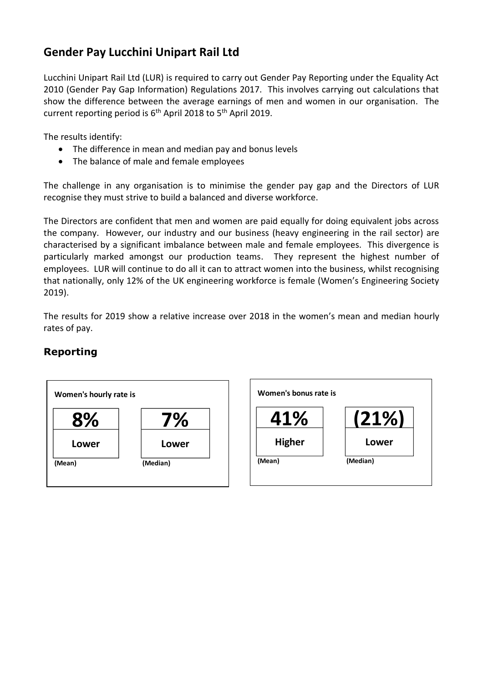## **Gender Pay Lucchini Unipart Rail Ltd**

Lucchini Unipart Rail Ltd (LUR) is required to carry out Gender Pay Reporting under the Equality Act 2010 (Gender Pay Gap Information) Regulations 2017. This involves carrying out calculations that show the difference between the average earnings of men and women in our organisation. The current reporting period is 6<sup>th</sup> April 2018 to 5<sup>th</sup> April 2019.

The results identify:

- The difference in mean and median pay and bonus levels
- The balance of male and female employees

The challenge in any organisation is to minimise the gender pay gap and the Directors of LUR recognise they must strive to build a balanced and diverse workforce.

The Directors are confident that men and women are paid equally for doing equivalent jobs across the company. However, our industry and our business (heavy engineering in the rail sector) are characterised by a significant imbalance between male and female employees. This divergence is particularly marked amongst our production teams. They represent the highest number of employees. LUR will continue to do all it can to attract women into the business, whilst recognising that nationally, only 12% of the UK engineering workforce is female (Women's Engineering Society 2019).

The results for 2019 show a relative increase over 2018 in the women's mean and median hourly rates of pay.

## **Reporting**